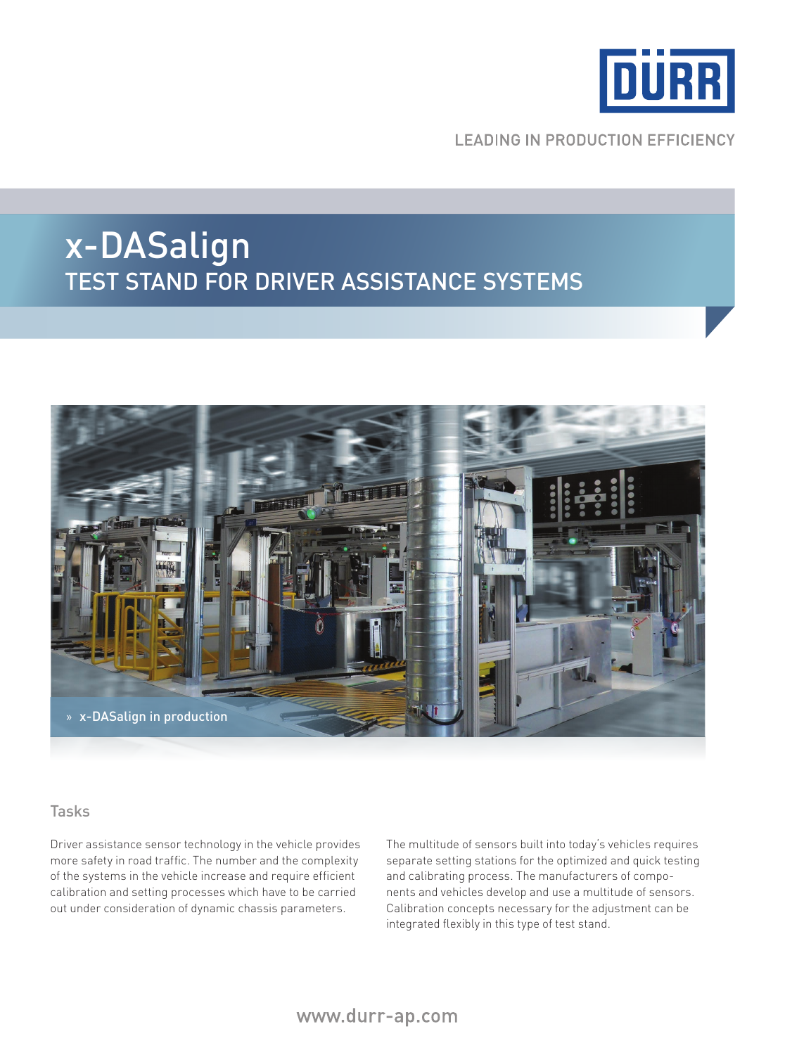

**LEADING IN PRODUCTION EFFICIENCY** 

## x-DASalign Test STand for driver assistance systems



#### Tasks

Driver assistance sensor technology in the vehicle provides more safety in road traffic. The number and the complexity of the systems in the vehicle increase and require efficient calibration and setting processes which have to be carried out under consideration of dynamic chassis parameters.

The multitude of sensors built into today's vehicles requires separate setting stations for the optimized and quick testing and calibrating process. The manufacturers of components and vehicles develop and use a multitude of sensors. Calibration concepts necessary for the adjustment can be integrated flexibly in this type of test stand.